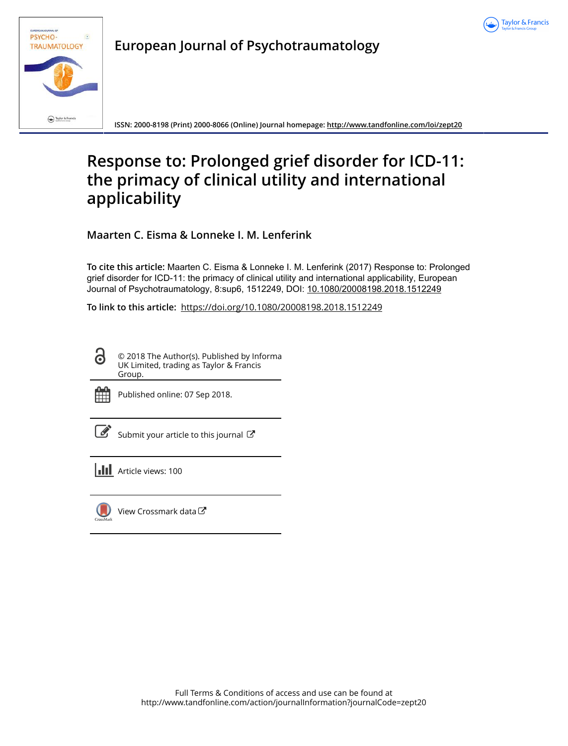



**European Journal of Psychotraumatology**

**ISSN: 2000-8198 (Print) 2000-8066 (Online) Journal homepage:<http://www.tandfonline.com/loi/zept20>**

# **Response to: Prolonged grief disorder for ICD-11: the primacy of clinical utility and international applicability**

**Maarten C. Eisma & Lonneke I. M. Lenferink**

**To cite this article:** Maarten C. Eisma & Lonneke I. M. Lenferink (2017) Response to: Prolonged grief disorder for ICD-11: the primacy of clinical utility and international applicability, European Journal of Psychotraumatology, 8:sup6, 1512249, DOI: [10.1080/20008198.2018.1512249](http://www.tandfonline.com/action/showCitFormats?doi=10.1080/20008198.2018.1512249)

**To link to this article:** <https://doi.org/10.1080/20008198.2018.1512249>

 $\mathbf{a}$ © 2018 The Author(s). Published by Informa UK Limited, trading as Taylor & Francis Group.



Published online: 07 Sep 2018.

|--|

[Submit your article to this journal](http://www.tandfonline.com/action/authorSubmission?journalCode=zept20&show=instructions)  $\mathbb{Z}$ 

**III** Article views: 100



[View Crossmark data](http://crossmark.crossref.org/dialog/?doi=10.1080/20008198.2018.1512249&domain=pdf&date_stamp=2018-09-07)  $\mathbb{Z}$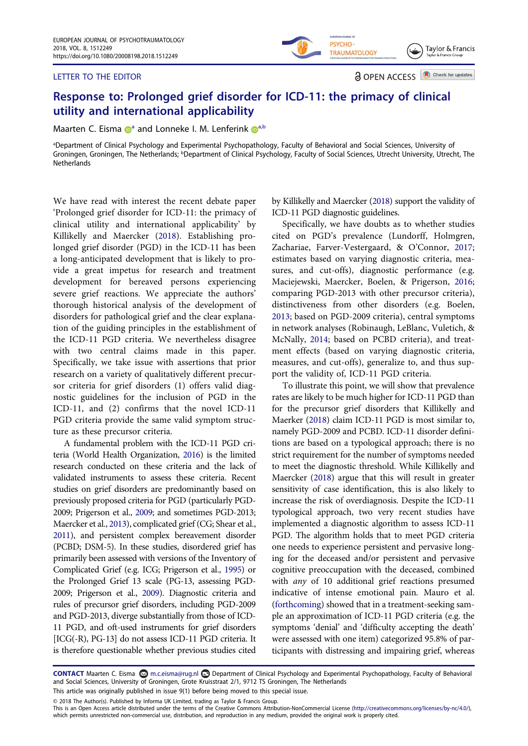#### LETTER TO THE EDITOR

**a** OPEN ACCESS **D** Check for updates

Taylor & Francis

## Response to: Prolonged grief disorder for ICD-11: the primacy of clinical utility and international applicability

M[a](#page-1-0)arten C. Eisma  $\mathbb{D}^a$  and Lonne[k](http://orcid.org/0000-0003-1329-6413)e I. M. Lenferink  $\mathbb{D}^{a,b}$  $\mathbb{D}^{a,b}$  $\mathbb{D}^{a,b}$ 

<span id="page-1-1"></span><span id="page-1-0"></span>a Department of Clinical Psychology and Experimental Psychopathology, Faculty of Behavioral and Social Sciences, University of Groningen, Groningen, The Netherlands; <sup>b</sup>Department of Clinical Psychology, Faculty of Social Sciences, Utrecht University, Utrecht, The **Netherlands** 

We have read with interest the recent debate paper 'Prolonged grief disorder for ICD-11: the primacy of clinical utility and international applicability' by Killikelly and Maercker ([2018\)](#page-2-0). Establishing prolonged grief disorder (PGD) in the ICD-11 has been a long-anticipated development that is likely to provide a great impetus for research and treatment development for bereaved persons experiencing severe grief reactions. We appreciate the authors' thorough historical analysis of the development of disorders for pathological grief and the clear explanation of the guiding principles in the establishment of the ICD-11 PGD criteria. We nevertheless disagree with two central claims made in this paper. Specifically, we take issue with assertions that prior research on a variety of qualitatively different precursor criteria for grief disorders (1) offers valid diagnostic guidelines for the inclusion of PGD in the ICD-11, and (2) confirms that the novel ICD-11 PGD criteria provide the same valid symptom structure as these precursor criteria.

<span id="page-1-11"></span><span id="page-1-6"></span>A fundamental problem with the ICD-11 PGD criteria (World Health Organization, [2016\)](#page-2-1) is the limited research conducted on these criteria and the lack of validated instruments to assess these criteria. Recent studies on grief disorders are predominantly based on previously proposed criteria for PGD (particularly PGD-2009; Prigerson et al., [2009;](#page-2-2) and sometimes PGD-2013; Maercker et al., [2013\)](#page-2-3), complicated grief (CG; Shear et al., [2011](#page-2-4)), and persistent complex bereavement disorder (PCBD; DSM-5). In these studies, disordered grief has primarily been assessed with versions of the Inventory of Complicated Grief (e.g. ICG; Prigerson et al., [1995](#page-2-5)) or the Prolonged Grief 13 scale (PG-13, assessing PGD-2009; Prigerson et al., [2009\)](#page-2-2). Diagnostic criteria and rules of precursor grief disorders, including PGD-2009 and PGD-2013, diverge substantially from those of ICD-11 PGD, and oft-used instruments for grief disorders [ICG(-R), PG-13] do not assess ICD-11 PGD criteria. It is therefore questionable whether previous studies cited

by Killikelly and Maercker [\(2018](#page-2-0)) support the validity of ICD-11 PGD diagnostic guidelines.

PSYCHO-

**TRAUMATOLOGY** 

<span id="page-1-5"></span><span id="page-1-4"></span><span id="page-1-2"></span>Specifically, we have doubts as to whether studies cited on PGD's prevalence (Lundorff, Holmgren, Zachariae, Farver-Vestergaard, & O'Connor, [2017;](#page-2-6) estimates based on varying diagnostic criteria, measures, and cut-offs), diagnostic performance (e.g. Maciejewski, Maercker, Boelen, & Prigerson, [2016;](#page-2-7) comparing PGD-2013 with other precursor criteria), distinctiveness from other disorders (e.g. Boelen, [2013;](#page-2-8) based on PGD-2009 criteria), central symptoms in network analyses (Robinaugh, LeBlanc, Vuletich, & McNally, [2014;](#page-2-9) based on PCBD criteria), and treatment effects (based on varying diagnostic criteria, measures, and cut-offs), generalize to, and thus support the validity of, ICD-11 PGD criteria.

<span id="page-1-10"></span><span id="page-1-7"></span><span id="page-1-3"></span>To illustrate this point, we will show that prevalence rates are likely to be much higher for ICD-11 PGD than for the precursor grief disorders that Killikelly and Maerker [\(2018](#page-2-0)) claim ICD-11 PGD is most similar to, namely PGD-2009 and PCBD. ICD-11 disorder definitions are based on a typological approach; there is no strict requirement for the number of symptoms needed to meet the diagnostic threshold. While Killikelly and Maercker ([2018\)](#page-2-0) argue that this will result in greater sensitivity of case identification, this is also likely to increase the risk of overdiagnosis. Despite the ICD-11 typological approach, two very recent studies have implemented a diagnostic algorithm to assess ICD-11 PGD. The algorithm holds that to meet PGD criteria one needs to experience persistent and pervasive longing for the deceased and/or persistent and pervasive cognitive preoccupation with the deceased, combined with *any* of 10 additional grief reactions presumed indicative of intense emotional pain. Mauro et al. [\(forthcoming](#page-2-10)) showed that in a treatment-seeking sample an approximation of ICD-11 PGD criteria (e.g. the symptoms 'denial' and 'difficulty accepting the death' were assessed with one item) categorized 95.8% of participants with distressing and impairing grief, whereas

<span id="page-1-9"></span><span id="page-1-8"></span>CONTACT Maarten C. Eisma **on** m.c.eisma@rug.nl **co** Department of Clinical Psychology and Experimental Psychopathology, Faculty of Behavioral and Social Sciences, University of Groningen, Grote Kruisstraat 2/1, 9712 TS Groningen, The Netherlands This article was originally published in issue 9(1) before being moved to this special issue.

© 2018 The Author(s). Published by Informa UK Limited, trading as Taylor & Francis Group.

This is an Open Access article distributed under the terms of the Creative Commons Attribution-NonCommercial License (http://creativecommons.org/licenses/by-nc/4.0/), which permits unrestricted non-commercial use, distribution, and reproduction in any medium, provided the original work is properly cited.